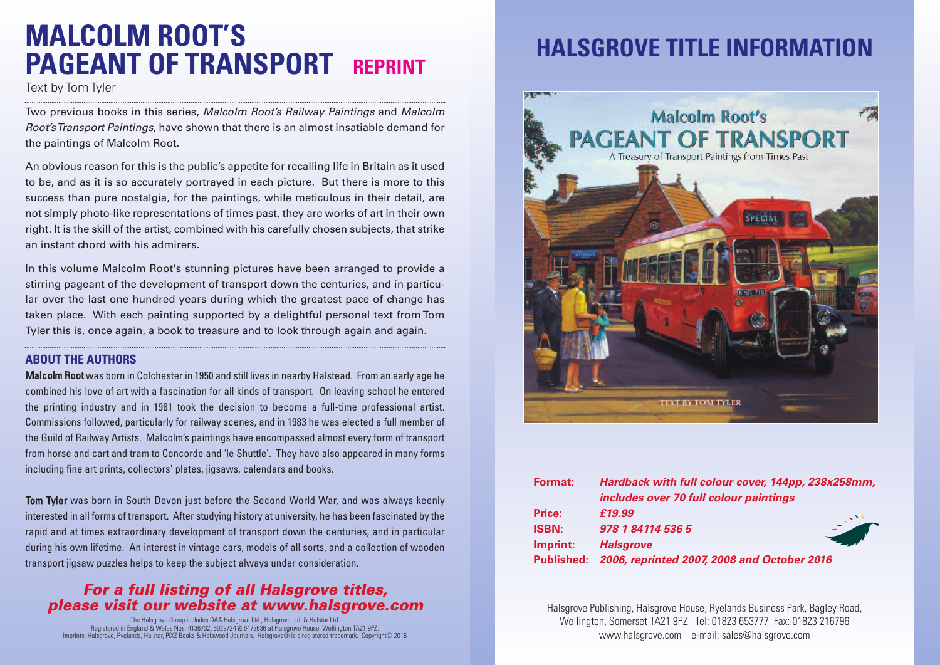# **MALCOLM ROOT'S PAGEANT OF TRANSPORT REPRINT**

Text by Tom Tyler

Two previous books in this series, *Malcolm Root's Railway Paintings* and *Malcolm Root'sTransport Paintings*, have shown that there is an almost insatiable demand for the paintings of Malcolm Root.

An obvious reason for this is the public's appetite for recalling life in Britain as it used to be, and as it is so accurately portrayed in each picture. But there is more to this success than pure nostalgia, for the paintings, while meticulous in their detail, are not simply photo-like representations of times past, they are works of art in their own right. It is the skill of the artist, combined with his carefully chosen subjects, that strike an instant chord with his admirers.

In this volume Malcolm Root's stunning pictures have been arranged to provide a stirring pageant of the development of transport down the centuries, and in particular over the last one hundred years during which the greatest pace of change has taken place. With each painting supported by a delightful personal text from Tom Tyler this is, once again, a book to treasure and to look through again and again.

#### **ABOUT THE AUTHORS**

Malcolm Root was born in Colchester in 1950 and still lives in nearby Halstead. From an early age he combined his love of art with a fascination for all kinds of transport. On leaving school he entered the printing industry and in 1981 took the decision to become a full-time professional artist. Commissions followed, particularly for railway scenes, and in 1983 he was elected a full member of the Guild of Railway Artists. Malcolm's paintings have encompassed almost every form of transport from horse and cart and tram to Concorde and 'le Shuttle'. They have also appeared in many forms including fine art prints, collectors' plates, jigsaws, calendars and books.

Tom Tyler was born in South Devon just before the Second World War, and was always keenly interested in all forms of transport. After studying history at university, he has been fascinated by the rapid and at times extraordinary development of transport down the centuries, and in particular during his own lifetime. An interest in vintage cars, models of all sorts, and a collection of wooden transport jigsaw puzzles helps to keep the subject always under consideration.

#### *For a full listing of all Halsgrove titles, please visit our website at www.halsgrove.com*

The Halsgrove Group includes DAA Halsgrove Ltd., Halsgrove Ltd. & Halstar Ltd. Registered in England & Wales Nos. 4136732, 6029724 & 6472636 at Halsgrove House, Wellington TA21 9PZ. Imprints: Halsgrove, Ryelands, Halstar, PiXZ Books & Halswood Journals. Halsgrove® is a registered trademark. Copyright© 2016

## **HALSGROVE TITLE INFORMATION**



| <b>Format:</b> | Hardback with full colour cover, 144pp, 238x258mm,     |
|----------------|--------------------------------------------------------|
|                | includes over 70 full colour paintings                 |
| <b>Price:</b>  | £19.99                                                 |
| <b>ISBN:</b>   | 978 1 84114 536 5                                      |
| Imprint:       | <b>Halsgrove</b>                                       |
|                | Published: 2006, reprinted 2007, 2008 and October 2016 |

Halsgrove Publishing, Halsgrove House, Ryelands Business Park, Bagley Road, Wellington, Somerset TA21 9PZ Tel: 01823 653777 Fax: 01823 216796 www.halsgrove.com e-mail: sales@halsgrove.com